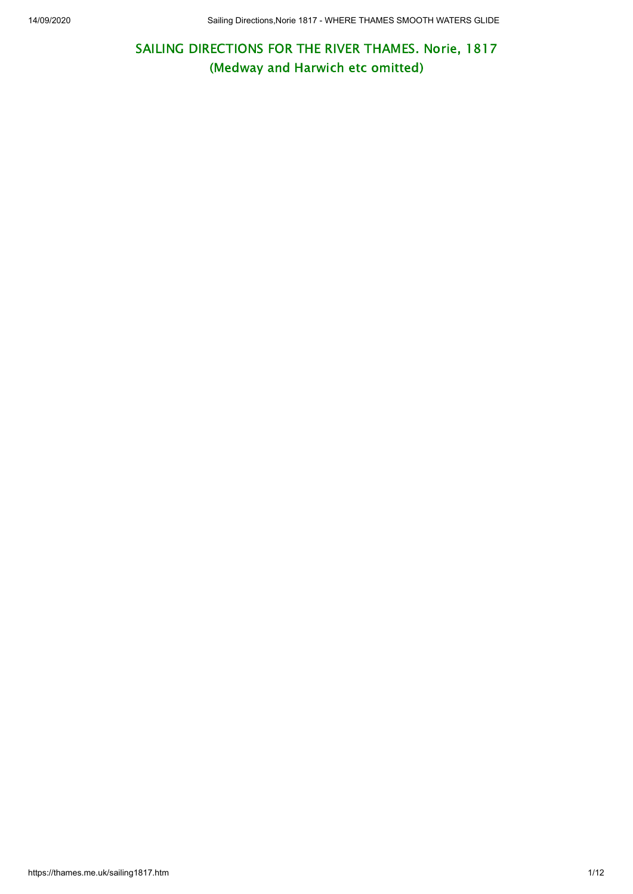SAILING DIRECTIONS FOR THE RIVER THAMES. Norie, 1817 (Medway and Harwich etc omitted)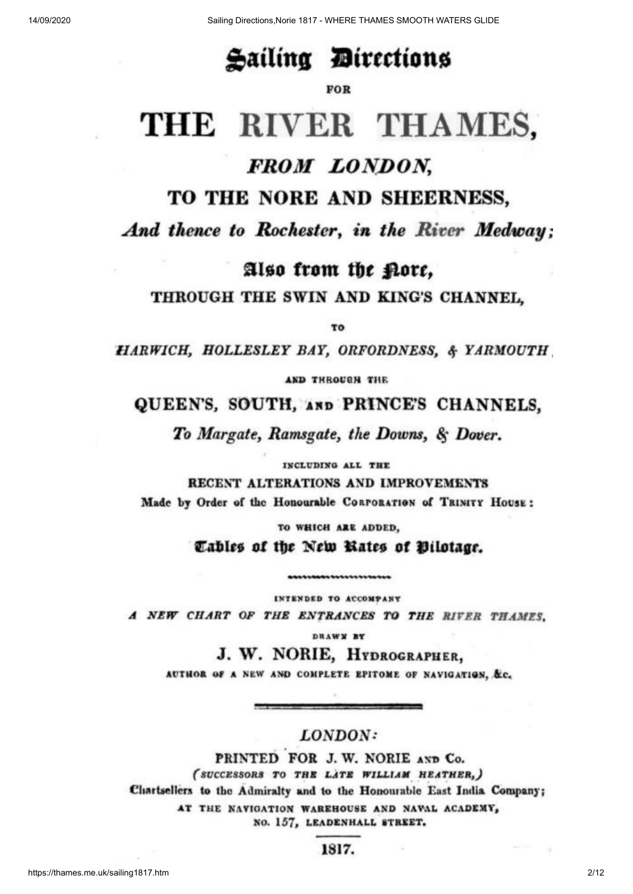## Sailing Directions

#### FOR

# THE RIVER THAMES,

## FROM LONDON,

## TO THE NORE AND SHEERNESS,

And thence to Rochester, in the River Medway:

Also from the pore,

THROUGH THE SWIN AND KING'S CHANNEL.

TO

**HARWICH, HOLLESLEY BAY, ORFORDNESS, & YARMOUTH** 

AND THROUGH THE

QUEEN'S, SOUTH, AND PRINCE'S CHANNELS.

To Margate, Ramsgate, the Downs, & Dover.

INCLUDING ALL THE

RECENT ALTERATIONS AND IMPROVEMENTS Made by Order of the Honourable CORPORATION of TRINITY HOUSE:

> TO WHICH ARE ADDED. Cables of the New Rates of Bilotage.

INTENDED TO ACCOMPANY A NEW CHART OF THE ENTRANCES TO THE RIVER THAMES.

...............

DRAWN BY

J. W. NORIE, HYDROGRAPHER,

AUTHOR OF A NEW AND COMPLETE EPITOME OF NAVIGATION, &c.

#### LONDON:

PRINTED FOR J. W. NORIE AND Co. (SUCCESSORS TO THE LATE WILLIAM HEATHER,) Chartsellers to the Admiralty and to the Honourable East India Company; AT THE NAVIGATION WAREHOUSE AND NAVAL ACADEMY, NO. 157, LEADENHALL STREET.

1817.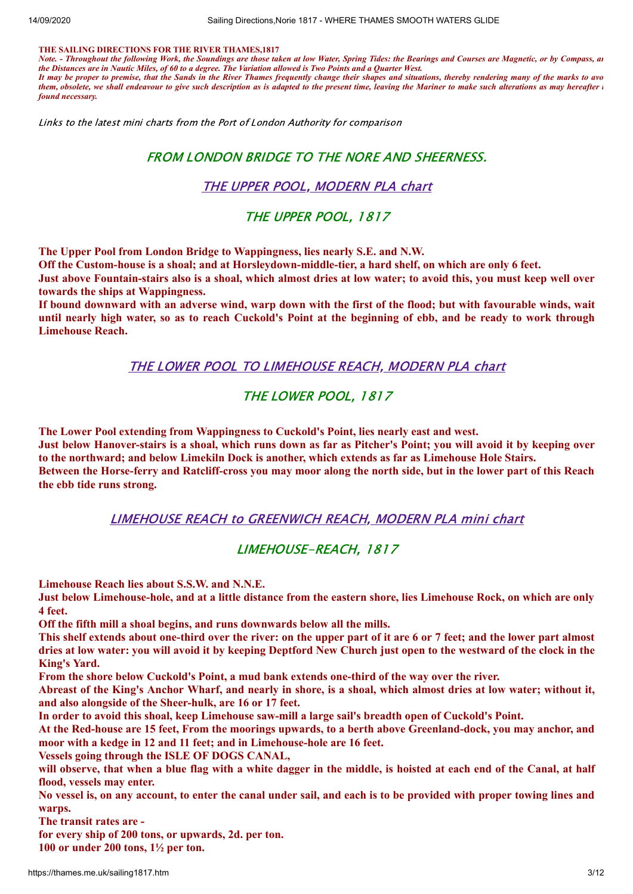#### **THE SAILING DIRECTIONS FOR THE RIVER THAMES,1817**

*Note. - Throughout the following Work, the Soundings are those taken at low Water, Spring Tides: the Bearings and Courses are Magnetic, or by Compass, an the Distances are in Nautic Miles, of 60 to a degree. The Variation allowed is Two Points and a Quarter West. It may be proper to premise, that the Sands in the River Thames frequently change their shapes and situations, thereby rendering many of the marks to avo them, obsolete, we shall endeavour to give such description as is adapted to the present time, leaving the Mariner to make such alterations as may hereafter i found necessary.*

Links to the latest mini charts from the Port of London Authority for comparison

#### FROM LONDON BRIDGE TO THE NORE AND SHEERNESS.

#### THE UPPER POOL, [MODERN](https://www.pla.co.uk/assets/318MSC.pdf) PLA chart

#### THE UPPER POOL, 1817

**The Upper Pool from London Bridge to Wappingness, lies nearly S.E. and N.W.**

Off the Custom-house is a shoal; and at Horsleydown-middle-tier, a hard shelf, on which are only 6 feet.

Just above Fountain-stairs also is a shoal, which almost dries at low water; to avoid this, you must keep well over **towards the ships at Wappingness.**

If bound downward with an adverse wind, warp down with the first of the flood; but with favourable winds, wait until nearly high water, so as to reach Cuckold's Point at the beginning of ebb, and be ready to work through **Limehouse Reach.**

THE LOWER POOL TO [LIMEHOUSE](https://www.pla.co.uk/assets/319MSC.pdf) REACH, MODERN PLA chart

#### THE LOWER POOL, 1817

**The Lower Pool extending from Wappingness to Cuckold's Point, lies nearly east and west.**

Just below Hanover-stairs is a shoal, which runs down as far as Pitcher's Point; you will avoid it by keeping over **to the northward; and below Limekiln Dock is another, which extends as far as Limehouse Hole Stairs.** Between the Horse-ferry and Ratcliff-cross you may moor along the north side, but in the lower part of this Reach **the ebb tide runs strong.**

LIMEHOUSE REACH to [GREENWICH](https://www.pla.co.uk/assets/320MSC.pdf) REACH, MODERN PLA mini chart

#### LIMEHOUSE-REACH, 1817

**Limehouse Reach lies about S.S.W. and N.N.E.**

Just below Limehouse-hole, and at a little distance from the eastern shore, lies Limehouse Rock, on which are only **4 feet.**

**Off the fifth mill a shoal begins, and runs downwards below all the mills.**

This shelf extends about one-third over the river: on the upper part of it are 6 or 7 feet; and the lower part almost dries at low water: you will avoid it by keeping Deptford New Church just open to the westward of the clock in the **King's Yard.**

**From the shore below Cuckold's Point, a mud bank extends one-third of the way over the river.**

Abreast of the King's Anchor Wharf, and nearly in shore, is a shoal, which almost dries at low water; without it, **and also alongside of the Sheer-hulk, are 16 or 17 feet.**

**In order to avoid this shoal, keep Limehouse saw-mill a large sail's breadth open of Cuckold's Point.**

At the Red-house are 15 feet, From the moorings upwards, to a berth above Greenland-dock, you may anchor, and **moor with a kedge in 12 and 11 feet; and in Limehouse-hole are 16 feet.**

**Vessels going through the ISLE OF DOGS CANAL,**

will observe, that when a blue flag with a white dagger in the middle, is hoisted at each end of the Canal, at half **flood, vessels may enter.**

No vessel is, on any account, to enter the canal under sail, and each is to be provided with proper towing lines and **warps.**

**The transit rates are -**

**for every ship of 200 tons, or upwards, 2d. per ton.**

**100 or under 200 tons, 1½ per ton.**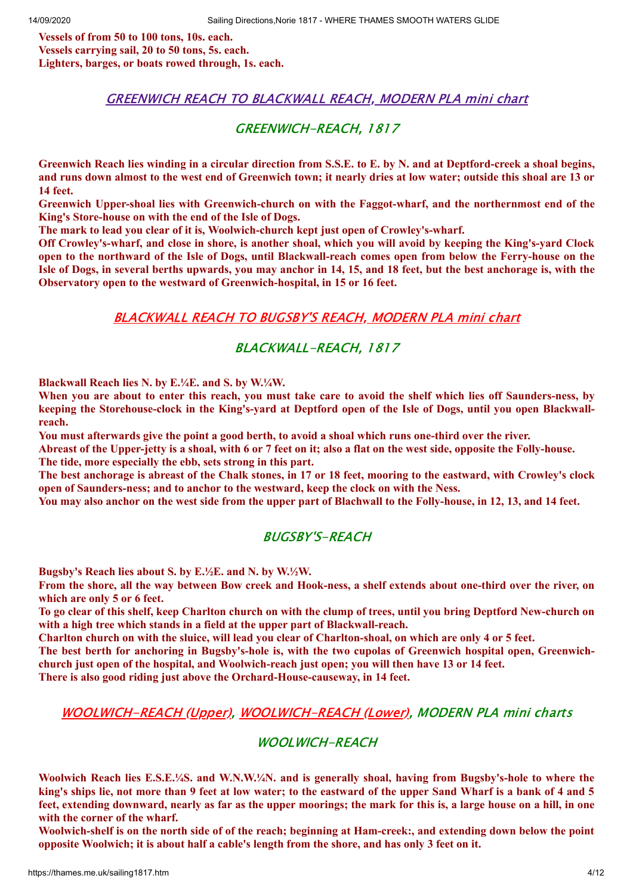**Vessels of from 50 to 100 tons, 10s. each. Vessels carrying sail, 20 to 50 tons, 5s. each. Lighters, barges, or boats rowed through, 1s. each.**

#### GREENWICH REACH TO [BLACKWALL](https://www.pla.co.uk/assets/321MSC.pdf) REACH, MODERN PLA mini chart

#### GREENWICH-REACH, 1817

Greenwich Reach lies winding in a circular direction from S.S.E. to E. by N. and at Deptford-creek a shoal begins, and runs down almost to the west end of Greenwich town; it nearly dries at low water; outside this shoal are 13 or **14 feet.**

**Greenwich Upper-shoal lies with Greenwich-church on with the Faggot-wharf, and the northernmost end of the King's Store-house on with the end of the Isle of Dogs.**

**The mark to lead you clear of it is, Woolwich-church kept just open of Crowley's-wharf.**

Off Crowley's-wharf, and close in shore, is another shoal, which you will avoid by keeping the King's-yard Clock open to the northward of the Isle of Dogs, until Blackwall-reach comes open from below the Ferry-house on the Isle of Dogs, in several berths upwards, you may anchor in 14, 15, and 18 feet, but the best anchorage is, with the **Observatory open to the westward of Greenwich-hospital, in 15 or 16 feet.**

#### [BLACKWALL](https://www.pla.co.uk/assets/322MSC.pdf) REACH TO BUGSBY'S REACH, MODERN PLA mini chart

#### BLACKWALL-REACH, 1817

**Blackwall Reach lies N. by E.¼E. and S. by W.¼W.**

When you are about to enter this reach, you must take care to avoid the shelf which lies off Saunders-ness, by keeping the Storehouse-clock in the King's-yard at Deptford open of the Isle of Dogs, until you open Blackwall**reach.**

You must afterwards give the point a good berth, to avoid a shoal which runs one-third over the river.

Abreast of the Upper-jetty is a shoal, with 6 or 7 feet on it; also a flat on the west side, opposite the Folly-house. **The tide, more especially the ebb, sets strong in this part.**

The best anchorage is abreast of the Chalk stones, in 17 or 18 feet, mooring to the eastward, with Crowley's clock **open of Saunders-ness; and to anchor to the westward, keep the clock on with the Ness.**

You may also anchor on the west side from the upper part of Blachwall to the Folly-house, in 12, 13, and 14 feet.

#### BUGSBY'S-REACH

**Bugsby's Reach lies about S. by E.½E. and N. by W.½W.**

From the shore, all the wav between Bow creek and Hook-ness, a shelf extends about one-third over the river, on **which are only 5 or 6 feet.**

To go clear of this shelf, keep Charlton church on with the clump of trees, until you bring Deptford New-church on **with a high tree which stands in a field at the upper part of Blackwall-reach.**

Charlton church on with the sluice, will lead you clear of Charlton-shoal, on which are only 4 or 5 feet.

The best berth for anchoring in Bugsby's-hole is, with the two cupolas of Greenwich hospital open, Greenwich**church just open of the hospital, and Woolwich-reach just open; you will then have 13 or 14 feet.**

**There is also good riding just above the Orchard-House-causeway, in 14 feet.**

#### [WOOLWICH-REACH](https://www.pla.co.uk/assets/323MSC.pdf) (Upper), [WOOLWICH-REACH](https://www.pla.co.uk/assets/324MSC.pdf) (Lower), MODERN PLA mini charts

#### WOOLWICH-REACH

**Woolwich Reach lies E.S.E.¼S. and W.N.W.¼N. and is generally shoal, having from Bugsby's-hole to where the** king's ships lie, not more than 9 feet at low water; to the eastward of the upper Sand Wharf is a bank of 4 and 5 feet, extending downward, nearly as far as the upper moorings; the mark for this is, a large house on a hill, in one **with the corner of the wharf.**

Woolwich-shelf is on the north side of of the reach; beginning at Ham-creek:, and extending down below the point opposite Woolwich; it is about half a cable's length from the shore, and has only 3 feet on it.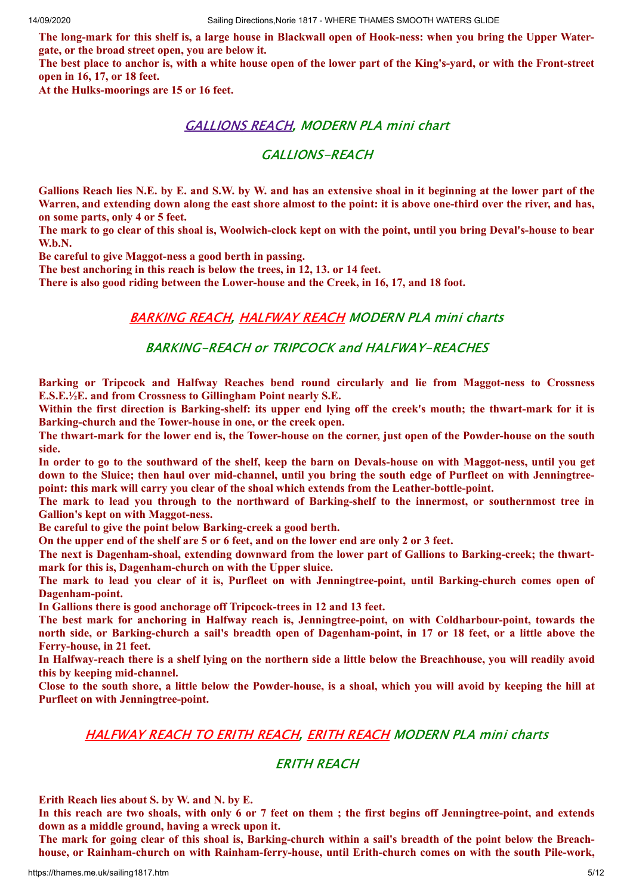The long-mark for this shelf is, a large house in Blackwall open of Hook-ness: when you bring the Upper Water**gate, or the broad street open, you are below it.**

The best place to anchor is, with a white house open of the lower part of the King's-yard, or with the Front-street **open in 16, 17, or 18 feet.**

**At the Hulks-moorings are 15 or 16 feet.**

#### [GALLIONS](https://www.pla.co.uk/assets/325MSC.pdf) REACH, MODERN PLA mini chart

#### GALLIONS-REACH

Gallions Reach lies N.E. by E. and S.W. by W. and has an extensive shoal in it beginning at the lower part of the Warren, and extending down along the east shore almost to the point: it is above one-third over the river, and has, **on some parts, only 4 or 5 feet.**

The mark to go clear of this shoal is, Woolwich-clock kept on with the point, until you bring Deval's-house to bear **W.b.N.**

**Be careful to give Maggot-ness a good berth in passing.**

**The best anchoring in this reach is below the trees, in 12, 13. or 14 feet.**

**There is also good riding between the Lower-house and the Creek, in 16, 17, and 18 foot.**

#### [BARKING](https://www.pla.co.uk/assets/326MSC.pdf) REACH, [HALFWAY](https://www.pla.co.uk/assets/327MSC.pdf) REACH MODERN PLA mini charts

#### BARKING-REACH or TRIPCOCK and HALFWAY-REACHES

**Barking or Tripcock and Halfway Reaches bend round circularly and lie from Maggot-ness to Crossness E.S.E.½E. and from Crossness to Gillingham Point nearly S.E.**

Within the first direction is Barking-shelf: its upper end lying off the creek's mouth; the thwart-mark for it is **Barking-church and the Tower-house in one, or the creek open.**

The thwart-mark for the lower end is, the Tower-house on the corner, just open of the Powder-house on the south **side.**

In order to go to the southward of the shelf, keep the barn on Devals-house on with Maggot-ness, until you get down to the Sluice; then haul over mid-channel, until you bring the south edge of Purfleet on with Jenningtree**point: this mark will carry you clear of the shoal which extends from the Leather-bottle-point.**

The mark to lead you through to the northward of Barking-shelf to the innermost, or southernmost tree in **Gallion's kept on with Maggot-ness.**

**Be careful to give the point below Barking-creek a good berth.**

On the upper end of the shelf are 5 or 6 feet, and on the lower end are only 2 or 3 feet.

**The next is Dagenham-shoal, extending downward from the lower part of Gallions to Barking-creek; the thwartmark for this is, Dagenham-church on with the Upper sluice.**

The mark to lead you clear of it is, Purfleet on with Jenningtree-point, until Barking-church comes open of **Dagenham-point.**

**In Gallions there is good anchorage off Tripcock-trees in 12 and 13 feet.**

**The best mark for anchoring in Halfway reach is, Jenningtree-point, on with Coldharbour-point, towards the** north side, or Barking-church a sail's breadth open of Dagenham-point, in 17 or 18 feet, or a little above the **Ferry-house, in 21 feet.**

In Halfway-reach there is a shelf lying on the northern side a little below the Breachhouse, you will readily avoid **this by keeping mid-channel.**

Close to the south shore, a little below the Powder-house, is a shoal, which you will avoid by keeping the hill at **Purfleet on with Jenningtree-point.**

#### [HALFWAY](https://www.pla.co.uk/assets/328MSC.pdf) REACH TO ERITH REACH, ERITH [REACH](https://www.pla.co.uk/assets/329MSC.pdf) MODERN PLA mini charts

#### ERITH REACH

**Erith Reach lies about S. by W. and N. by E.**

In this reach are two shoals, with only 6 or 7 feet on them; the first begins off Jenningtree-point, and extends **down as a middle ground, having a wreck upon it.**

The mark for going clear of this shoal is, Barking-church within a sail's breadth of the point below the Breach**house, or Rainham-church on with Rainham-ferry-house, until Erith-church comes on with the south Pile-work,**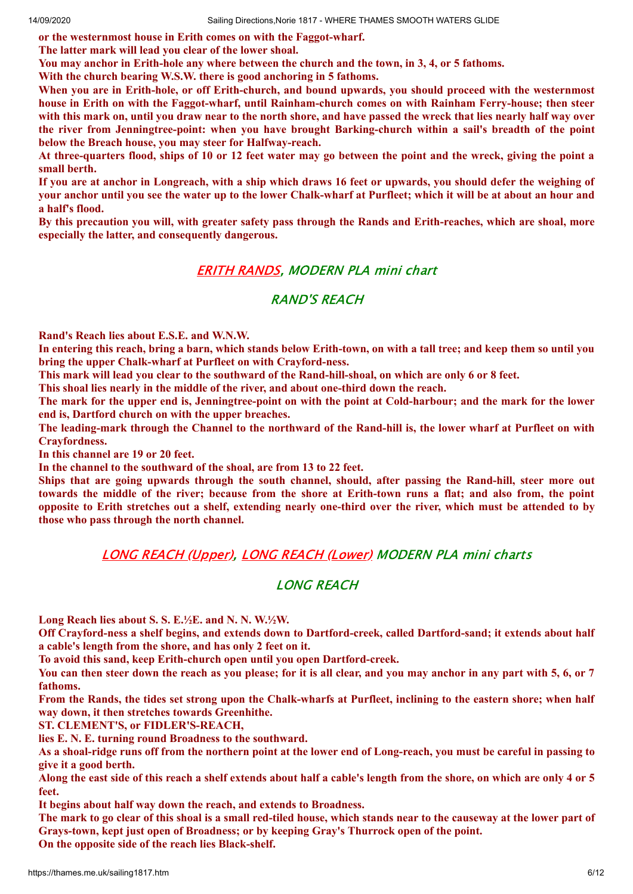**or the westernmost house in Erith comes on with the Faggot-wharf.**

**The latter mark will lead you clear of the lower shoal.**

You may anchor in Erith-hole any where between the church and the town, in 3, 4, or 5 fathoms.

**With the church bearing W.S.W. there is good anchoring in 5 fathoms.**

When vou are in Erith-hole, or off Erith-church, and bound upwards, you should proceed with the westernmost **house in Erith on with the Faggot-wharf, until Rainham-church comes on with Rainham Ferry-house; then steer** with this mark on, until you draw near to the north shore, and have passed the wreck that lies nearly half way over **the river from Jenningtree-point: when you have brought Barking-church within a sail's breadth of the point below the Breach house, you may steer for Halfway-reach.**

At three-quarters flood, ships of 10 or 12 feet water may go between the point and the wreck, giving the point a **small berth.**

If you are at anchor in Longreach, with a ship which draws 16 feet or upwards, you should defer the weighing of your anchor until you see the water up to the lower Chalk-wharf at Purfleet; which it will be at about an hour and **a half's flood.**

By this precaution you will, with greater safety pass through the Rands and Erith-reaches, which are shoal, more **especially the latter, and consequently dangerous.**

#### ERITH [RANDS](https://www.pla.co.uk/assets/330MSC.pdf), MODERN PLA mini chart

#### RAND'S REACH

**Rand's Reach lies about E.S.E. and W.N.W.**

In entering this reach, bring a barn, which stands below Erith-town, on with a tall tree; and keep them so until you **bring the upper Chalk-wharf at Purfleet on with Crayford-ness.**

This mark will lead you clear to the southward of the Rand-hill-shoal, on which are only 6 or 8 feet.

**This shoal lies nearly in the middle of the river, and about one-third down the reach.**

The mark for the upper end is, Jenningtree-point on with the point at Cold-harbour; and the mark for the lower **end is, Dartford church on with the upper breaches.**

The leading-mark through the Channel to the northward of the Rand-hill is, the lower wharf at Purfleet on with **Crayfordness.**

**In this channel are 19 or 20 feet.**

**In the channel to the southward of the shoal, are from 13 to 22 feet.**

Ships that are going upwards through the south channel, should, after passing the Rand-hill, steer more out towards the middle of the river; because from the shore at Erith-town runs a flat; and also from, the point opposite to Erith stretches out a shelf, extending nearly one-third over the river, which must be attended to by **those who pass through the north channel.**

#### LONG REACH [\(Upper\),](https://www.pla.co.uk/assets/331MSC.pdf) LONG REACH [\(Lower\)](https://www.pla.co.uk/assets/332MSC.pdf) MODERN PLA mini charts

#### LONG REACH

**Long Reach lies about S. S. E.½E. and N. N. W.½W.**

Off Crayford-ness a shelf begins, and extends down to Dartford-creek, called Dartford-sand; it extends about half **a cable's length from the shore, and has only 2 feet on it.**

**To avoid this sand, keep Erith-church open until you open Dartford-creek.**

You can then steer down the reach as you please; for it is all clear, and you may anchor in any part with 5, 6, or 7 **fathoms.**

From the Rands, the tides set strong upon the Chalk-wharfs at Purfleet, inclining to the eastern shore; when half **way down, it then stretches towards Greenhithe.**

**ST. CLEMENT'S, or FIDLER'S-REACH,**

**lies E. N. E. turning round Broadness to the southward.**

As a shoal-ridge runs off from the northern point at the lower end of Long-reach, you must be careful in passing to **give it a good berth.**

Along the east side of this reach a shelf extends about half a cable's length from the shore, on which are only 4 or 5 **feet.**

**It begins about half way down the reach, and extends to Broadness.**

The mark to go clear of this shoal is a small red-tiled house, which stands near to the causeway at the lower part of **Grays-town, kept just open of Broadness; or by keeping Gray's Thurrock open of the point.**

**On the opposite side of the reach lies Black-shelf.**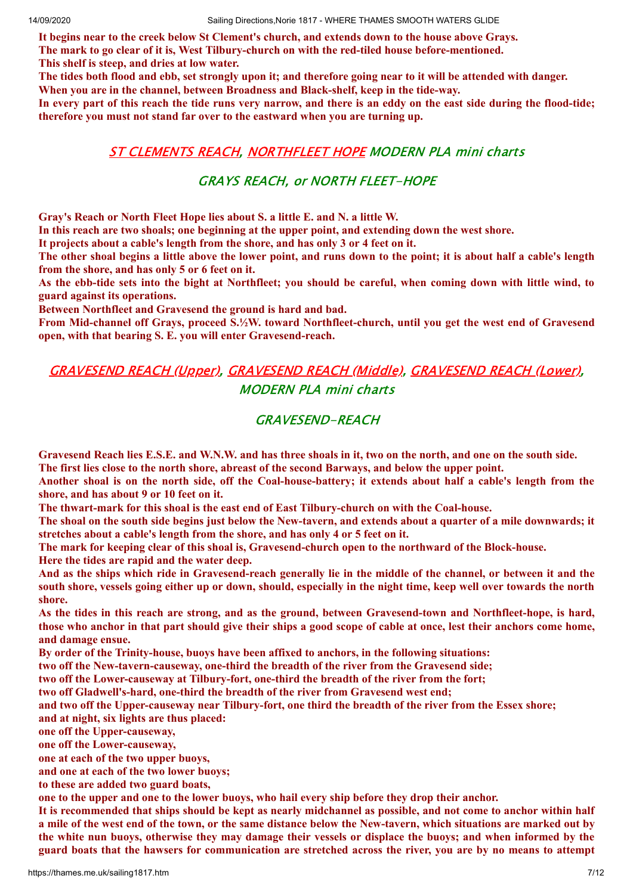**It begins near to the creek below St Clement's church, and extends down to the house above Grays. The mark to go clear of it is, West Tilbury-church on with the red-tiled house before-mentioned. This shelf is steep, and dries at low water.**

The tides both flood and ebb, set strongly upon it; and therefore going near to it will be attended with danger. **When you are in the channel, between Broadness and Black-shelf, keep in the tide-way.**

In every part of this reach the tide runs very narrow, and there is an eddy on the east side during the flood-tide; **therefore you must not stand far over to the eastward when you are turning up.**

#### ST [CLEMENTS](https://www.pla.co.uk/assets/333MSC.pdf) REACH, [NORTHFLEET](https://www.pla.co.uk/assets/334MSC.pdf) HOPE MODERN PLA mini charts

#### GRAYS REACH, or NORTH FLEET-HOPE

**Gray's Reach or North Fleet Hope lies about S. a little E. and N. a little W.**

**In this reach are two shoals; one beginning at the upper point, and extending down the west shore.**

**It projects about a cable's length from the shore, and has only 3 or 4 feet on it.**

The other shoal begins a little above the lower point, and runs down to the point; it is about half a cable's length **from the shore, and has only 5 or 6 feet on it.**

As the ebb-tide sets into the bight at Northfleet; you should be careful, when coming down with little wind, to **guard against its operations.**

**Between Northfleet and Gravesend the ground is hard and bad.**

**From Mid-channel off Grays, proceed S.½W. toward Northfleet-church, until you get the west end of Gravesend open, with that bearing S. E. you will enter Gravesend-reach.**

### [GRAVESEND](https://www.pla.co.uk/assets/335MSC.pdf) REACH (Upper), [GRAVESEND](https://www.pla.co.uk/assets/336MSC.pdf) REACH (Middle), [GRAVESEND](https://www.pla.co.uk/assets/337MSC.pdf) REACH (Lower), MODERN PLA mini charts

#### GRAVESEND-REACH

Gravesend Reach lies E.S.E. and W.N.W. and has three shoals in it, two on the north, and one on the south side. **The first lies close to the north shore, abreast of the second Barways, and below the upper point.**

Another shoal is on the north side, off the Coal-house-battery; it extends about half a cable's length from the **shore, and has about 9 or 10 feet on it.**

**The thwart-mark for this shoal is the east end of East Tilbury-church on with the Coal-house.**

The shoal on the south side begins just below the New-tavern, and extends about a quarter of a mile downwards; it **stretches about a cable's length from the shore, and has only 4 or 5 feet on it.**

**The mark for keeping clear of this shoal is, Gravesend-church open to the northward of the Block-house.**

**Here the tides are rapid and the water deep.**

And as the ships which ride in Gravesend-reach generally lie in the middle of the channel, or between it and the south shore, vessels going either up or down, should, especially in the night time, keep well over towards the north **shore.**

As the tides in this reach are strong, and as the ground, between Gravesend-town and Northfleet-hope, is hard, those who anchor in that part should give their ships a good scope of cable at once, lest their anchors come home, **and damage ensue.**

**By order of the Trinity-house, buoys have been affixed to anchors, in the following situations:**

**two off the New-tavern-causeway, one-third the breadth of the river from the Gravesend side;**

**two off the Lower-causeway at Tilbury-fort, one-third the breadth of the river from the fort;**

**two off Gladwell's-hard, one-third the breadth of the river from Gravesend west end;**

and two off the Upper-causeway near Tilbury-fort, one third the breadth of the river from the Essex shore; **and at night, six lights are thus placed:**

**one off the Upper-causeway,**

**one off the Lower-causeway,**

**one at each of the two upper buoys,**

**and one at each of the two lower buoys;**

**to these are added two guard boats,**

one to the upper and one to the lower buoys, who hail every ship before they drop their anchor.

It is recommended that ships should be kept as nearly midchannel as possible, and not come to anchor within half a mile of the west end of the town, or the same distance below the New-tavern, which situations are marked out by the white nun buoys, otherwise they may damage their vessels or displace the buoys; and when informed by the guard boats that the hawsers for communication are stretched across the river, you are by no means to attempt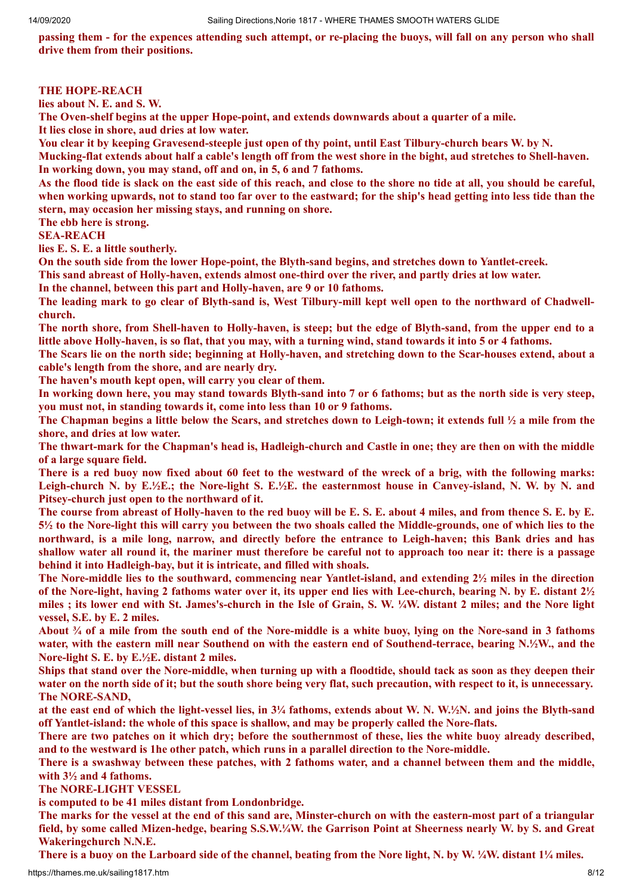passing them - for the expences attending such attempt, or re-placing the buoys, will fall on any person who shall **drive them from their positions.**

#### **THE HOPE-REACH**

**lies about N. E. and S. W.**

**The Oven-shelf begins at the upper Hope-point, and extends downwards about a quarter of a mile. It lies close in shore, aud dries at low water.**

You clear it by keeping Gravesend-steeple just open of thy point, until East Tilbury-church bears W. by N.

Mucking-flat extends about half a cable's length off from the west shore in the bight, aud stretches to Shell-haven. **In working down, you may stand, off and on, in 5, 6 and 7 fathoms.**

As the flood tide is slack on the east side of this reach, and close to the shore no tide at all, you should be careful, when working upwards, not to stand too far over to the eastward; for the ship's head getting into less tide than the **stern, may occasion her missing stays, and running on shore.**

**The ebb here is strong.**

#### **SEA-REACH**

**lies E. S. E. a little southerly.**

**On the south side from the lower Hope-point, the Blyth-sand begins, and stretches down to Yantlet-creek.**

**This sand abreast of Holly-haven, extends almost one-third over the river, and partly dries at low water.**

**In the channel, between this part and Holly-haven, are 9 or 10 fathoms.**

The leading mark to go clear of Blyth-sand is, West Tilbury-mill kept well open to the northward of Chadwell**church.**

The north shore, from Shell-haven to Holly-haven, is steep; but the edge of Blyth-sand, from the upper end to a little above Holly-haven, is so flat, that you may, with a turning wind, stand towards it into 5 or 4 fathoms.

The Scars lie on the north side; beginning at Holly-haven, and stretching down to the Scar-houses extend, about a **cable's length from the shore, and are nearly dry.**

**The haven's mouth kept open, will carry you clear of them.**

In working down here, you may stand towards Blyth-sand into 7 or 6 fathoms; but as the north side is very steep, **you must not, in standing towards it, come into less than 10 or 9 fathoms.**

The Chapman begins a little below the Scars, and stretches down to Leigh-town; it extends full  $\frac{1}{2}$  a mile from the **shore, and dries at low water.**

The thwart-mark for the Chapman's head is, Hadleigh-church and Castle in one; they are then on with the middle **of a large square field.**

There is a red buoy now fixed about 60 feet to the westward of the wreck of a brig, with the following marks: Leigh-church N. by E. $\frac{1}{2}E$ .; the Nore-light S. E. $\frac{1}{2}E$ , the easternmost house in Canvey-island, N. W. by N. and **Pitsey-church just open to the northward of it.**

The course from abreast of Holly-haven to the red buoy will be E. S. E. about 4 miles, and from thence S. E. by E. 5½ to the Nore-light this will carry you between the two shoals called the Middle-grounds, one of which lies to the northward, is a mile long, narrow, and directly before the entrance to Leigh-haven; this Bank dries and has shallow water all round it, the mariner must therefore be careful not to approach too near it: there is a passage **behind it into Hadleigh-bay, but it is intricate, and filled with shoals.**

**The Nore-middle lies to the southward, commencing near Yantlet-island, and extending 2½ miles in the direction** of the Nore-light, having 2 fathoms water over it, its upper end lies with Lee-church, bearing N. by E. distant  $2\frac{1}{2}$ miles ; its lower end with St. James's-church in the Isle of Grain, S. W. ¼W. distant 2 miles; and the Nore light **vessel, S.E. by E. 2 miles.**

About  $\frac{3}{4}$  of a mile from the south end of the Nore-middle is a white buoy, lying on the Nore-sand in 3 fathoms water, with the eastern mill near Southend on with the eastern end of Southend-terrace, bearing N.1/2W., and the **Nore-light S. E. by E.½E. distant 2 miles.**

Ships that stand over the Nore-middle, when turning up with a floodtide, should tack as soon as they deepen their water on the north side of it; but the south shore being very flat, such precaution, with respect to it, is unnecessary. **The NORE-SAND,**

at the east end of which the light-vessel lies, in 3¼ fathoms, extends about W. N. W.1/2N. and joins the Blyth-sand **off Yantlet-island: the whole of this space is shallow, and may be properly called the Nore-flats.**

There are two patches on it which dry; before the southernmost of these, lies the white buoy already described, **and to the westward is 1he other patch, which runs in a parallel direction to the Nore-middle.**

There is a swashway between these patches, with 2 fathoms water, and a channel between them and the middle, **with 3½ and 4 fathoms.**

**The NORE-LIGHT VESSEL**

**is computed to be 41 miles distant from Londonbridge.**

The marks for the vessel at the end of this sand are, Minster-church on with the eastern-most part of a triangular field, by some called Mizen-hedge, bearing S.S.W.1/4W. the Garrison Point at Sheerness nearly W. by S. and Great **Wakeringchurch N.N.E.**

There is a buoy on the Larboard side of the channel, beating from the Nore light, N. by W.  $\frac{1}{4}W$ . distant  $1\frac{1}{4}$  miles.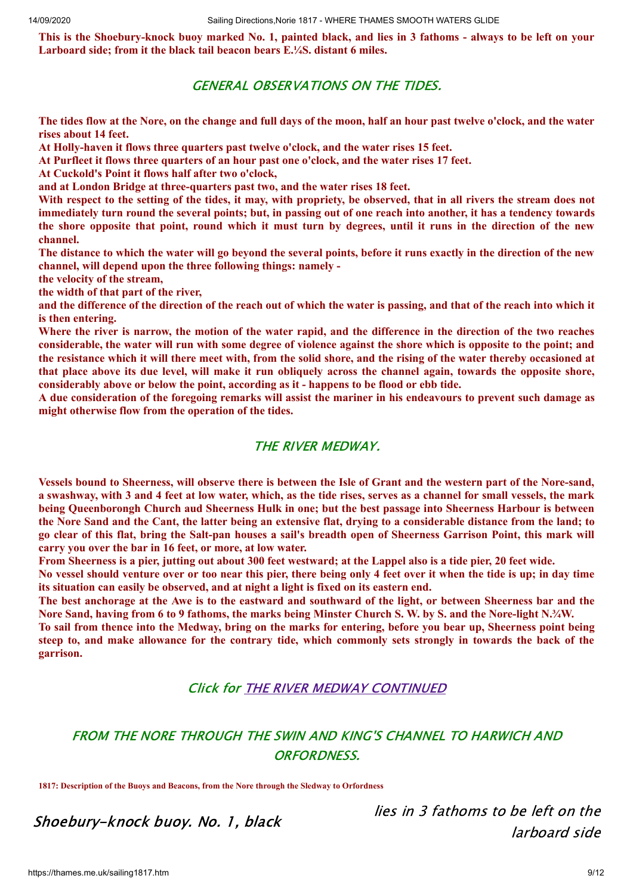This is the Shoebury-knock buoy marked No. 1, painted black, and lies in 3 fathoms - always to be left on your **Larboard side; from it the black tail beacon bears E.¼S. distant 6 miles.**

#### GENERAL OBSERVATIONS ON THE TIDES.

The tides flow at the Nore, on the change and full days of the moon, half an hour past twelve o'clock, and the water **rises about 14 feet.**

**At Holly-haven it flows three quarters past twelve o'clock, and the water rises 15 feet.**

**At Purfleet it flows three quarters of an hour past one o'clock, and the water rises 17 feet.**

**At Cuckold's Point it flows half after two o'clock,**

**and at London Bridge at three-quarters past two, and the water rises 18 feet.**

With respect to the setting of the tides, it may, with propriety, be observed, that in all rivers the stream does not immediately turn round the several points; but, in passing out of one reach into another, it has a tendency towards the shore opposite that point, round which it must turn by degrees, until it runs in the direction of the new **channel.**

The distance to which the water will go beyond the several points, before it runs exactly in the direction of the new **channel, will depend upon the three following things: namely -**

**the velocity of the stream,**

**the width of that part of the river,**

and the difference of the direction of the reach out of which the water is passing, and that of the reach into which it **is then entering.**

Where the river is narrow, the motion of the water rapid, and the difference in the direction of the two reaches considerable, the water will run with some degree of violence against the shore which is opposite to the point; and the resistance which it will there meet with, from the solid shore, and the rising of the water thereby occasioned at that place above its due level, will make it run obliquely across the channel again, towards the opposite shore, **considerably above or below the point, according as it - happens to be flood or ebb tide.**

A due consideration of the foregoing remarks will assist the mariner in his endeavours to prevent such damage as **might otherwise flow from the operation of the tides.**

#### THE RIVER MEDWAY.

Vessels bound to Sheerness, will observe there is between the Isle of Grant and the western part of the Nore-sand, a swashway, with 3 and 4 feet at low water, which, as the tide rises, serves as a channel for small vessels, the mark being Oueenborongh Church aud Sheerness Hulk in one: but the best passage into Sheerness Harbour is between the Nore Sand and the Cant, the latter being an extensive flat, drying to a considerable distance from the land; to go clear of this flat, bring the Salt-pan houses a sail's breadth open of Sheerness Garrison Point, this mark will **carry you over the bar in 16 feet, or more, at low water.**

From Sheerness is a pier, jutting out about 300 feet westward; at the Lappel also is a tide pier, 20 feet wide.

No vessel should venture over or too near this pier, there being only 4 feet over it when the tide is up; in day time **its situation can easily be observed, and at night a light is fixed on its eastern end.**

The best anchorage at the Awe is to the eastward and southward of the light, or between Sheerness bar and the Nore Sand, having from 6 to 9 fathoms, the marks being Minster Church S. W. by S. and the Nore-light N.3/4W.

To sail from thence into the Medway, bring on the marks for entering, before you bear up, Sheerness point being steep to, and make allowance for the contrary tide, which commonly sets strongly in towards the back of the **garrison.**

#### Click for THE RIVER MEDWAY [CONTINUED](https://books.google.co.uk/books?pg=PA7&dq=River+Thames&id=OosUAAAAQAAJ#v=onepage&q=River%20Thames&f=false)

## FROM THE NORE THROUGH THE SWIN AND KING'S CHANNEL TO HARWICH AND ORFORDNESS.

**1817: Description of the Buoys and Beacons, from the Nore through the Sledway to Orfordness**

Shoebury-knock buoy. No. 1, black

lies in 3 fathoms to be left on the larboard side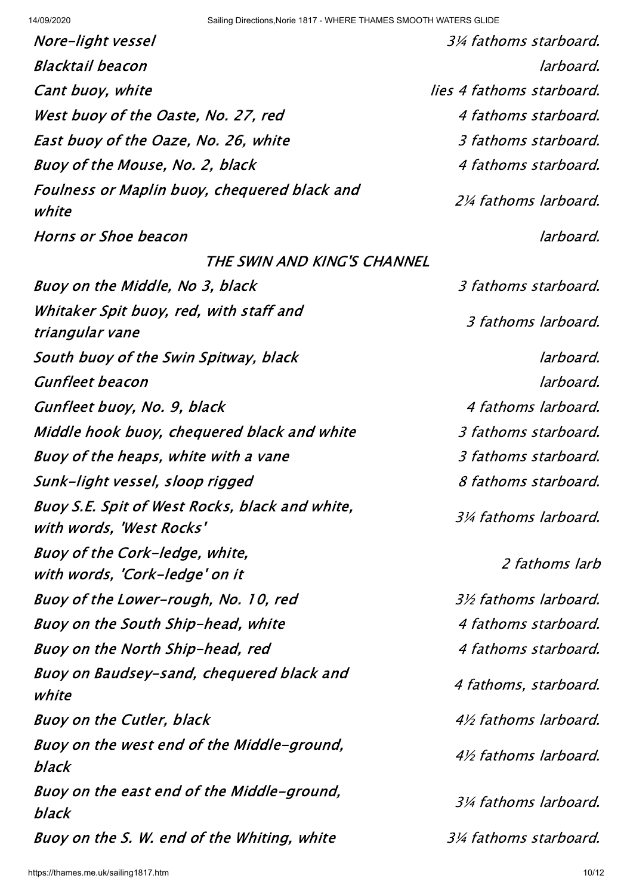| Nore-light vessel                                                          | 3¼ fathoms starboard.       |
|----------------------------------------------------------------------------|-----------------------------|
| Blacktail beacon                                                           | larboard.                   |
| Cant buoy, white                                                           | lies 4 fathoms starboard.   |
| West buoy of the Oaste, No. 27, red                                        | 4 fathoms starboard.        |
| East buoy of the Oaze, No. 26, white                                       | 3 fathoms starboard.        |
| Buoy of the Mouse, No. 2, black                                            | 4 fathoms starboard.        |
| Foulness or Maplin buoy, chequered black and<br>white                      | <i>2¼ fathoms larboard.</i> |
| Horns or Shoe beacon                                                       | larboard.                   |
| THE SWIN AND KING'S CHANNEL                                                |                             |
| Buoy on the Middle, No 3, black                                            | 3 fathoms starboard.        |
| Whitaker Spit buoy, red, with staff and<br>triangular vane                 | 3 fathoms larboard.         |
| South buoy of the Swin Spitway, black                                      | larboard.                   |
| <i><b>Gunfleet beacon</b></i>                                              | larboard.                   |
| Gunfleet buoy, No. 9, black                                                | 4 fathoms larboard.         |
| Middle hook buoy, chequered black and white                                | 3 fathoms starboard.        |
| Buoy of the heaps, white with a vane                                       | 3 fathoms starboard.        |
| Sunk-light vessel, sloop rigged                                            | 8 fathoms starboard.        |
| Buoy S.E. Spit of West Rocks, black and white,<br>with words, 'West Rocks' | 3¼ fathoms larboard.        |
| Buoy of the Cork-ledge, white,<br>with words, 'Cork-ledge' on it           | 2 fathoms larb              |
| Buoy of the Lower-rough, No. 10, red                                       | <i>3½ fathoms larboard.</i> |
| Buoy on the South Ship-head, white                                         | 4 fathoms starboard.        |
| Buoy on the North Ship-head, red                                           | 4 fathoms starboard.        |
| Buoy on Baudsey-sand, chequered black and<br>white                         | 4 fathoms, starboard.       |
| Buoy on the Cutler, black                                                  | 4½ fathoms larboard.        |
| Buoy on the west end of the Middle-ground,<br>black                        | 4½ fathoms larboard.        |
| Buoy on the east end of the Middle-ground,<br>black                        | 3¼ fathoms larboard.        |
| Buoy on the S. W. end of the Whiting, white                                | 3¼ fathoms starboard.       |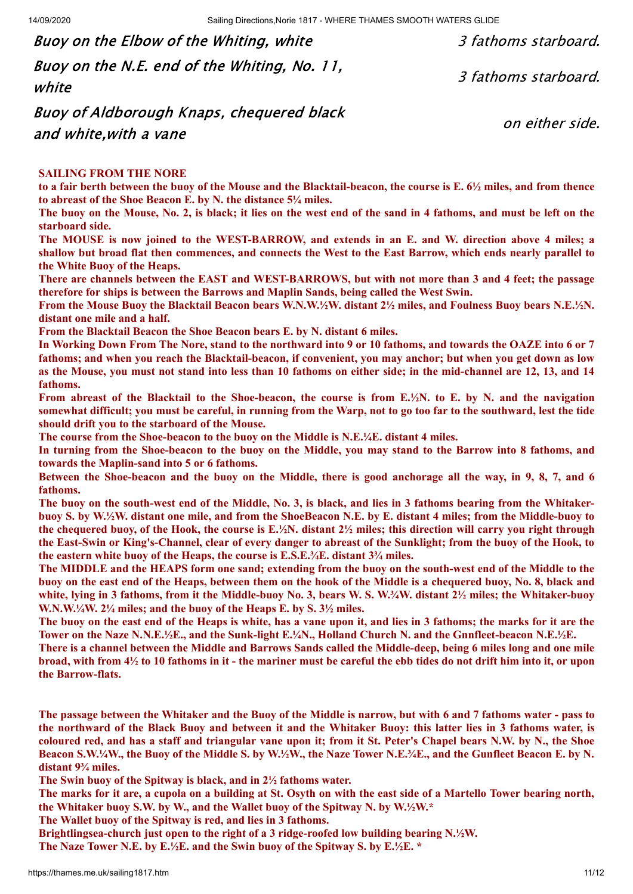Buoy on the Elbow of the Whiting, white  $\frac{3}{3}$  fathoms starboard. Buoy on the N.E. end of the Whiting, No. 11, white 3 fathoms starboard.

Buoy of Aldborough Knaps, chequered black and white,with a vane

on either side.

#### **SAILING FROM THE NORE**

to a fair berth between the buoy of the Mouse and the Blacktail-beacon, the course is E, 6<sup>1/2</sup> miles, and from thence **to abreast of the Shoe Beacon E. by N. the distance 5¼ miles.**

The buoy on the Mouse, No. 2, is black; it lies on the west end of the sand in 4 fathoms, and must be left on the **starboard side.**

The MOUSE is now joined to the WEST-BARROW, and extends in an E. and W. direction above 4 miles; a shallow but broad flat then commences, and connects the West to the East Barrow, which ends nearly parallel to **the White Buoy of the Heaps.**

There are channels between the EAST and WEST-BARROWS, but with not more than 3 and 4 feet; the passage **therefore for ships is between the Barrows and Maplin Sands, being called the West Swin.**

From the Mouse Buoy the Blacktail Beacon bears W.N.W.1/2W. distant 21/2 miles, and Foulness Buoy bears N.E.1/2N. **distant one mile and a half.**

**From the Blacktail Beacon the Shoe Beacon bears E. by N. distant 6 miles.**

In Working Down From The Nore, stand to the northward into 9 or 10 fathoms, and towards the OAZE into 6 or 7 fathoms: and when you reach the Blacktail-beacon, if convenient, you may anchor; but when you get down as low as the Mouse, you must not stand into less than 10 fathoms on either side; in the mid-channel are 12, 13, and 14 **fathoms.**

From abreast of the Blacktail to the Shoe-beacon, the course is from E.1/2N. to E. by N. and the navigation somewhat difficult; you must be careful, in running from the Warp, not to go too far to the southward, lest the tide **should drift you to the starboard of the Mouse.**

**The course from the Shoe-beacon to the buoy on the Middle is N.E.¼E. distant 4 miles.**

In turning from the Shoe-beacon to the buoy on the Middle, you may stand to the Barrow into 8 fathoms, and **towards the Maplin-sand into 5 or 6 fathoms.**

Between the Shoe-beacon and the buoy on the Middle, there is good anchorage all the way, in 9, 8, 7, and 6 **fathoms.**

The buoy on the south-west end of the Middle, No. 3, is black, and lies in 3 fathoms bearing from the Whitakerbuoy S. by W.1/2W. distant one mile, and from the ShoeBeacon N.E. by E. distant 4 miles; from the Middle-buoy to the chequered buoy, of the Hook, the course is  $E \frac{1}{2}N$ , distant  $2\frac{1}{2}$  miles; this direction will carry you right through the East-Swin or King's-Channel, clear of every danger to abreast of the Sunklight; from the buoy of the Hook, to **the eastern white buoy of the Heaps, the course is E.S.E.¾E. distant 3¾ miles.**

The MIDDLE and the HEAPS form one sand: extending from the buov on the south-west end of the Middle to the buoy on the east end of the Heaps, between them on the hook of the Middle is a chequered buoy, No. 8, black and white, lying in 3 fathoms, from it the Middle-buoy No. 3, bears W. S. W.3/4W. distant 21/2 miles; the Whitaker-buoy **W.N.W.¼W. 2¼ miles; and the buoy of the Heaps E. by S. 3½ miles.**

The buoy on the east end of the Heaps is white, has a vane upon it, and lies in 3 fathoms; the marks for it are the **Tower on the Naze N.N.E.½E., and the Sunk-light E.¼N., Holland Church N. and the Gnnfleet-beacon N.E.½E.**

There is a channel between the Middle and Barrows Sands called the Middle-deep, being 6 miles long and one mile broad, with from  $4\frac{1}{2}$  to 10 fathoms in it - the mariner must be careful the ebb tides do not drift him into it, or upon **the Barrow-flats.**

The passage between the Whitaker and the Buoy of the Middle is narrow, but with 6 and 7 fathoms water - pass to the northward of the Black Buoy and between it and the Whitaker Buoy; this latter lies in 3 fathoms water, is coloured red, and has a staff and triangular vane upon it; from it St. Peter's Chapel bears N.W. by N., the Shoe Beacon S.W.1/4W, the Buoy of the Middle S. by W.1/2W, the Naze Tower N.E.3/4E, and the Gunfleet Beacon E. by N. **distant 9¾ miles.**

**The Swin buoy of the Spitway is black, and in 2½ fathoms water.**

The marks for it are, a cupola on a building at St. Osyth on with the east side of a Martello Tower bearing north, **the Whitaker buoy S.W. by W., and the Wallet buoy of the Spitway N. by W.½W.\***

**The Wallet buoy of the Spitway is red, and lies in 3 fathoms.**

**Brightlingsea-church just open to the right of a 3 ridge-roofed low building bearing N.½W.**

**The Naze Tower N.E. by E.½E. and the Swin buoy of the Spitway S. by E.½E. \***